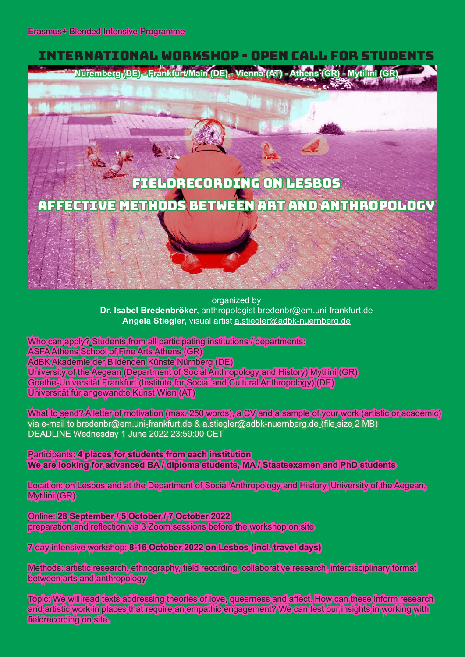## International Workshop - Open Call for Students **Nuremberg (DE) - Frankfurt/Main (DE) - Vienna (AT) - Athens (GR) - Mytilini (GR)** FIELDRECORDING ON LESBOS

AFFECTIVE METHODS BETWEEN ARt ANd ANTHROPOLOGY

organized by **Dr. Isabel Bredenbröker,** anthropologist bredenbr@em.uni-frankfurt.de **Angela Stiegler,** visual artist a.stiegler@adbk-nuernberg.de

Who can apply? Students from all participating institutions //departments: ASFA Athens School of Fine Arts Athens (GR) AdBK Akademie der Bildenden Künste Nürnberg (DE) University of the Aegean (Department of Social Anthropology and History) Mytilini (GR) Goethe-Universität Frankfurt (Institute for Social and Cultural Anthropology) (DE) Universität für angewandte Kunst Wien (AT)

What to send? A letter of motivation (max. 250 words), a CV and a sample of your work (artistic or academic) via e-mail to bredenbr@em.uni-frankfurt.de & a.stiegler@adbk-nuernberg.de (file size 2 MB) DEADLINE Wednesday 1 June 2022 23:59:00 CET

Participants: **4 places for students from each institution We are looking for advanced BA / diploma students, MA / Staatsexamen and PhD students**

Location: on Lesbos and at the Department of Social Anthropology and History, University of the Aegean, Mytilini (GR)

Online: **28 September / 5 October / 7 October 2022**  preparation and reflection via 3 Zoom sessions before the workshop on site

7 day intensive workshop: **8-16 October 2022 on Lesbos (incl. travel days)**

Methods: artistic research, ethnography, field recording, collaborative research, interdisciplinary format between arts and anthropology

Topic: We will read texts addressing theories of love, queerness and affect. How can these inform research and artistic work in places that require an empathic engagement? We can test our insights in working with fieldrecording on site.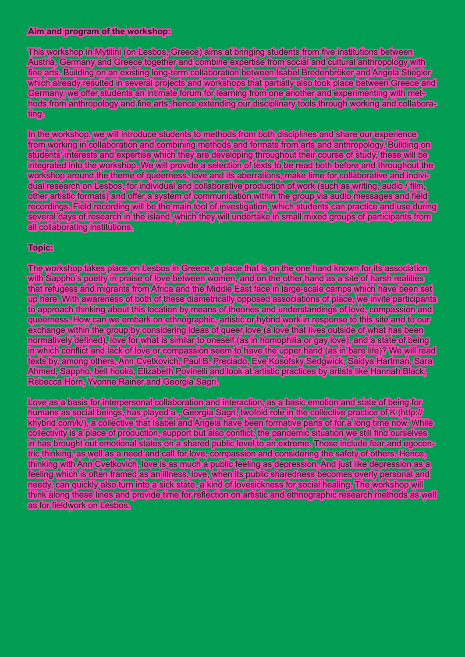## **Aim and program of the workshop:**

This workshop in Mytilini (on Lesbos, Greece) aims at bringing students from five institutions between Austria, Germany and Greece together and combine expertise from social and cultural anthropology with fine arts. Building on an existing long-term collaboration between Isabel Bredenbröker and Angela Stiegler which already resulted in several projects and workshops that partially also took place between Greece and Germany, we offer students an intimate forum for learning from one another and experimenting with methods from anthropology and fine arts, hence extending our disciplinary tools through working and collaborating.

In the workshop, we will introduce students to methods from both disciplines and share our experience from working in collaboration and combining methods and formats from arts and anthropology. Building on students' interests and expertise which they are developing throughout their course of study, these will be integrated into the workshop. We will provide a selection of texts to be read both before and throughout the workshop around the theme of queerness, love and its aberrations, make time for collaborative and individual research on Lesbos, for individual and collaborative production of work (such as writing, audio / film, other artistic formats) and offer a system of communication within the group via audio messages and field recordings. Field recording will be the main tool of investigation, which students can practice and use during several days of research in the island, which they will undertake in small mixed groups of participants from all collaborating institutions.

## **Topic:**

The workshop takes place on Lesbos in Greece, a place that is on the one hand known for its association with Sappho's poetry in praise of love between women, and on the other hand as a site of harsh realities that refugess and migrants from Africa and the Middle East face in large-scale camps which have been set up here. With awareness of both of these diametrically opposed associations of place, we invite participants to approach thinking about this location by means of theories and understandings of love, compassion and queerness. How can we embark on ethnographic, artistic or hybrid work in response to this site and to our exchange within the group by considering ideas of queer love (a love that lives outside of what has been normatively defined), love for what is similar to oneself (as in homophilia or gay love), and a state of being in which conflict and lack of love or compassion seem to have the upper hand (as in bare life)? We will read texts by, among others, Ann Cvetkovich, Paul B. Preciado, Eve Kosofsky Sedgwick, Saidya Hartman, Sara Ahmed, Sappho, bell hooks, Elizabeth Povinelli and look at artistic practices by artists like Hannah Black, Rebecca Horn, Yvonne Rainer and Georgia Sagri.

Love as a basis for interpersonal collaboration and interaction, as a basic emotion and state of being for humans as social beings, has played a , Georgia Sagri, twofold role in the collective practice of K (http:// khybrid.com/k/), a collective that Isabel and Angela have been formative parts of for a long time now. While collectivity is a place of production, support but also conflict, the pandemic situation we still find ourselves in has brought out emotional states on a shared public level to an extreme. Those include fear and egocentric thinking, as well as a need and call for love, compassion and considering the safety of others. Hence, thinking with Ann Cvetkovich, love is as much a public feeling as depression. And just like depression as a feeling which is often framed as an illness, love, when its public sharedness becomes overly personal and needy, can quickly also turn into a sick state, a kind of lovesickness for social healing. The workshop will think along these lines and provide time for reflection on artistic and ethnographic research methods as well as for fieldwork on Lesbos.